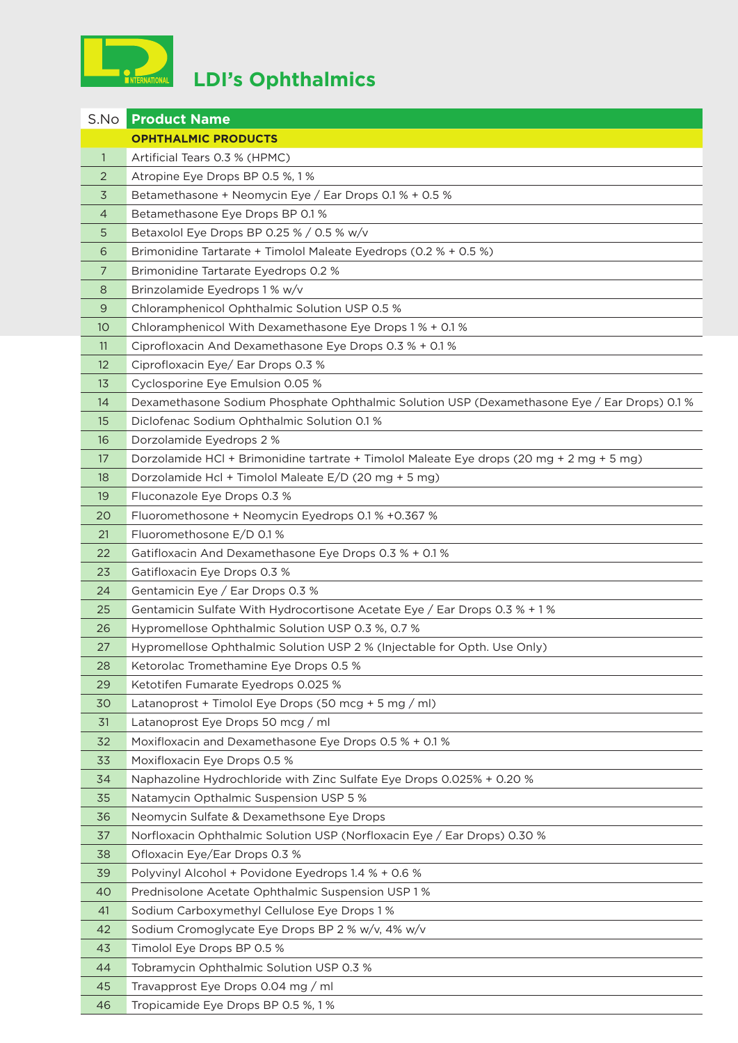

|              | <b>S.No Product Name</b>                                                                    |
|--------------|---------------------------------------------------------------------------------------------|
|              | <b>OPHTHALMIC PRODUCTS</b>                                                                  |
| $\mathbf{1}$ | Artificial Tears 0.3 % (HPMC)                                                               |
| 2            | Atropine Eye Drops BP 0.5 %, 1 %                                                            |
| 3            | Betamethasone + Neomycin Eye / Ear Drops 0.1 % + 0.5 %                                      |
| 4            | Betamethasone Eye Drops BP 0.1 %                                                            |
| 5            | Betaxolol Eye Drops BP 0.25 % / 0.5 % w/v                                                   |
| 6            | Brimonidine Tartarate + Timolol Maleate Eyedrops (0.2 % + 0.5 %)                            |
| 7            | Brimonidine Tartarate Eyedrops 0.2 %                                                        |
| 8            | Brinzolamide Eyedrops 1 % w/v                                                               |
| 9            | Chloramphenicol Ophthalmic Solution USP 0.5 %                                               |
| 10           | Chloramphenicol With Dexamethasone Eye Drops 1 % + 0.1 %                                    |
| 11           | Ciprofloxacin And Dexamethasone Eye Drops 0.3 % + 0.1 %                                     |
| 12           | Ciprofloxacin Eye/ Ear Drops 0.3 %                                                          |
| 13           | Cyclosporine Eye Emulsion 0.05 %                                                            |
| 14           | Dexamethasone Sodium Phosphate Ophthalmic Solution USP (Dexamethasone Eye / Ear Drops) 0.1% |
| 15           | Diclofenac Sodium Ophthalmic Solution 0.1 %                                                 |
| 16           | Dorzolamide Eyedrops 2 %                                                                    |
| 17           | Dorzolamide HCl + Brimonidine tartrate + Timolol Maleate Eye drops (20 mg + 2 mg + 5 mg)    |
| 18           | Dorzolamide Hcl + Timolol Maleate E/D (20 mg + 5 mg)                                        |
| 19           | Fluconazole Eye Drops 0.3 %                                                                 |
| 20           | Fluoromethosone + Neomycin Eyedrops 0.1 % +0.367 %                                          |
| 21           | Fluoromethosone E/D 0.1%                                                                    |
| 22           | Gatifloxacin And Dexamethasone Eye Drops 0.3 % + 0.1 %                                      |
| 23           | Gatifloxacin Eye Drops 0.3 %                                                                |
| 24           | Gentamicin Eye / Ear Drops 0.3 %                                                            |
| 25           | Gentamicin Sulfate With Hydrocortisone Acetate Eye / Ear Drops 0.3 % + 1 %                  |
| 26           | Hypromellose Ophthalmic Solution USP 0.3 %, 0.7 %                                           |
| 27           | Hypromellose Ophthalmic Solution USP 2 % (Injectable for Opth. Use Only)                    |
| 28           | Ketorolac Tromethamine Eye Drops 0.5 %                                                      |
| 29           | Ketotifen Fumarate Eyedrops 0.025 %                                                         |
| 30           | Latanoprost + Timolol Eye Drops (50 mcg + 5 mg / ml)                                        |
| 31           | Latanoprost Eye Drops 50 mcg / ml                                                           |
| 32           | Moxifloxacin and Dexamethasone Eye Drops 0.5 % + 0.1 %                                      |
| 33           | Moxifloxacin Eye Drops 0.5 %                                                                |
| 34           | Naphazoline Hydrochloride with Zinc Sulfate Eye Drops 0.025% + 0.20 %                       |
| 35           | Natamycin Opthalmic Suspension USP 5 %                                                      |
| 36           | Neomycin Sulfate & Dexamethsone Eye Drops                                                   |
| 37           | Norfloxacin Ophthalmic Solution USP (Norfloxacin Eye / Ear Drops) 0.30 %                    |
| 38           | Ofloxacin Eye/Ear Drops 0.3 %                                                               |
| 39           | Polyvinyl Alcohol + Povidone Eyedrops 1.4 % + 0.6 %                                         |
| 40           | Prednisolone Acetate Ophthalmic Suspension USP 1 %                                          |
| 41           | Sodium Carboxymethyl Cellulose Eye Drops 1%                                                 |
| 42           | Sodium Cromoglycate Eye Drops BP 2 % w/v, 4% w/v                                            |
| 43           | Timolol Eye Drops BP 0.5 %                                                                  |
| 44           | Tobramycin Ophthalmic Solution USP 0.3 %                                                    |
| 45           | Travapprost Eye Drops 0.04 mg / ml                                                          |
| 46           | Tropicamide Eye Drops BP 0.5 %, 1%                                                          |